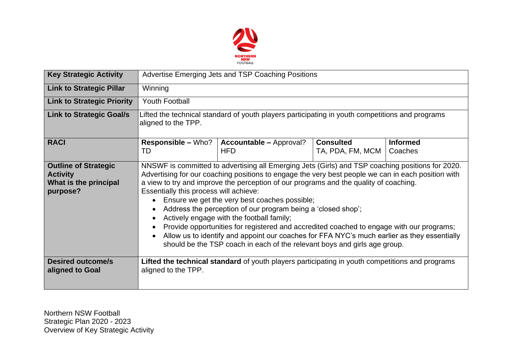

| <b>Key Strategic Activity</b>                                                       | Advertise Emerging Jets and TSP Coaching Positions                                                                                                                                                                                                                                                                                                                                                                                                                                                                                                                                                                                                                                                                                                                                                                                  |                                                                                                 |                                      |                            |  |  |  |
|-------------------------------------------------------------------------------------|-------------------------------------------------------------------------------------------------------------------------------------------------------------------------------------------------------------------------------------------------------------------------------------------------------------------------------------------------------------------------------------------------------------------------------------------------------------------------------------------------------------------------------------------------------------------------------------------------------------------------------------------------------------------------------------------------------------------------------------------------------------------------------------------------------------------------------------|-------------------------------------------------------------------------------------------------|--------------------------------------|----------------------------|--|--|--|
| <b>Link to Strategic Pillar</b>                                                     | Winning                                                                                                                                                                                                                                                                                                                                                                                                                                                                                                                                                                                                                                                                                                                                                                                                                             |                                                                                                 |                                      |                            |  |  |  |
| <b>Link to Strategic Priority</b>                                                   | <b>Youth Football</b>                                                                                                                                                                                                                                                                                                                                                                                                                                                                                                                                                                                                                                                                                                                                                                                                               |                                                                                                 |                                      |                            |  |  |  |
| <b>Link to Strategic Goal/s</b>                                                     | Lifted the technical standard of youth players participating in youth competitions and programs<br>aligned to the TPP.                                                                                                                                                                                                                                                                                                                                                                                                                                                                                                                                                                                                                                                                                                              |                                                                                                 |                                      |                            |  |  |  |
| <b>RACI</b>                                                                         | <b>Responsible – Who?</b><br>TD                                                                                                                                                                                                                                                                                                                                                                                                                                                                                                                                                                                                                                                                                                                                                                                                     | <b>Accountable – Approval?</b><br><b>HFD</b>                                                    | <b>Consulted</b><br>TA, PDA, FM, MCM | <b>Informed</b><br>Coaches |  |  |  |
| <b>Outline of Strategic</b><br><b>Activity</b><br>What is the principal<br>purpose? | NNSWF is committed to advertising all Emerging Jets (Girls) and TSP coaching positions for 2020.<br>Advertising for our coaching positions to engage the very best people we can in each position with<br>a view to try and improve the perception of our programs and the quality of coaching.<br>Essentially this process will achieve:<br>Ensure we get the very best coaches possible;<br>$\bullet$<br>Address the perception of our program being a 'closed shop';<br>$\bullet$<br>Actively engage with the football family;<br>$\bullet$<br>Provide opportunities for registered and accredited coached to engage with our programs;<br>Allow us to identify and appoint our coaches for FFA NYC's much earlier as they essentially<br>$\bullet$<br>should be the TSP coach in each of the relevant boys and girls age group. |                                                                                                 |                                      |                            |  |  |  |
| <b>Desired outcome/s</b><br>aligned to Goal                                         | aligned to the TPP.                                                                                                                                                                                                                                                                                                                                                                                                                                                                                                                                                                                                                                                                                                                                                                                                                 | Lifted the technical standard of youth players participating in youth competitions and programs |                                      |                            |  |  |  |